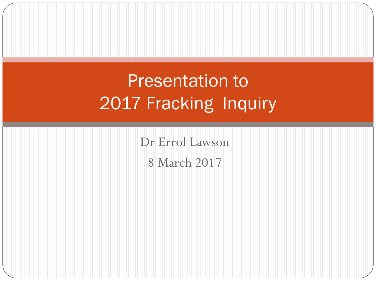### Presentation to 2017 Fracking Inquiry

Dr Errol Lawson 8 March 2017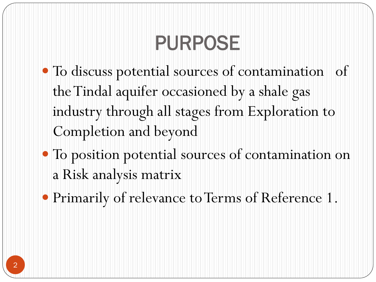# PURPOSE

- To discuss potential sources of contamination of the Tindal aquifer occasioned by a shale gas industry through all stages from Exploration to Completion and beyond
- To position potential sources of contamination on a Risk analysis matrix
- Primarily of relevance to Terms of Reference 1.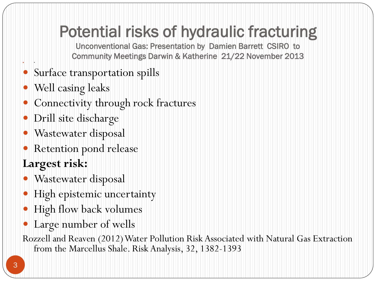### Potential risks of hydraulic fracturing

Unconventional Gas: Presentation by Damien Barrett CSIRO to Community Meetings Darwin & Katherine 21/22 November 2013

- Surface transportation spills
- Well casing leaks

•

- Connectivity through rock fractures
- Drill site discharge
- Wastewater disposal
- Retention pond release

#### **Largest risk:**

- Wastewater disposal
- · High epistemic uncertainty
- High flow back volumes
- Large number of wells
- Rozzell and Reaven (2012) Water Pollution Risk Associated with Natural Gas Extraction from the Marcellus Shale. Risk Analysis, 32, 1382-1393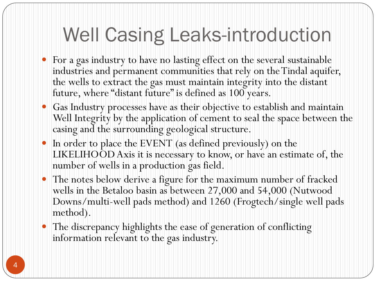## Well Casing Leaks-introduction

- For a gas industry to have no lasting effect on the several sustainable industries and permanent communities that rely on the Tindal aquifer, the wells to extract the gas must maintain integrity into the distant future, where "distant future" is defined as 100 years.
- Gas Industry processes have as their objective to establish and maintain Well Integrity by the application of cement to seal the space between the casing and the surrounding geological structure.
- In order to place the EVENT (as defined previously) on the LIKELIHOOD Axis it is necessary to know, or have an estimate of, the number of wells in a production gas field.
- The notes below derive a figure for the maximum number of fracked wells in the Betaloo basin as between 27,000 and 54,000 (Nutwood Downs/multi-well pads method) and 1260 (Frogtech/single well pads method).
- The discrepancy highlights the ease of generation of conflicting information relevant to the gas industry.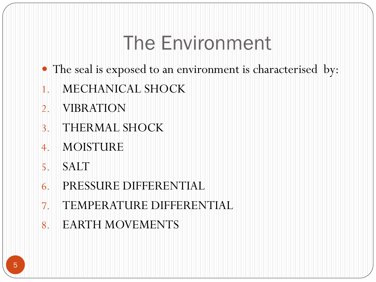## The Environment

- The seal is exposed to an environment is characterised by:
- 1. MECHANICAL SHOCK
- 2. VIBRATION
- 3. THERMAL SHOCK
- 4. MOISTURE
- 5. SALT
- 6. PRESSURE DIFFERENTIAL
- 7. TEMPERATURE DIFFERENTIAL
- 8. EARTH MOVEMENTS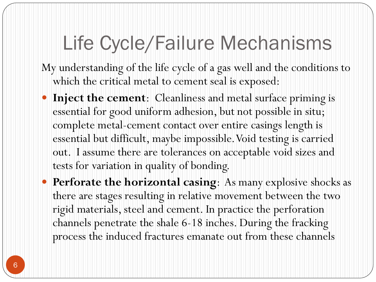## Life Cycle/Failure Mechanisms

My understanding of the life cycle of a gas well and the conditions to which the critical metal to cement seal is exposed:

- **Inject the cement**: Cleanliness and metal surface priming is essential for good uniform adhesion, but not possible in situ; complete metal-cement contact over entire casings length is essential but difficult, maybe impossible. Void testing is carried out. I assume there are tolerances on acceptable void sizes and tests for variation in quality of bonding.
- **Perforate the horizontal casing**: As many explosive shocks as there are stages resulting in relative movement between the two rigid materials, steel and cement. In practice the perforation channels penetrate the shale 6-18 inches. During the fracking process the induced fractures emanate out from these channels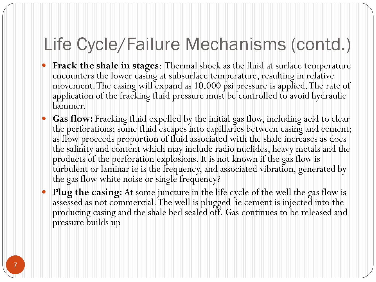### Life Cycle/Failure Mechanisms (contd.)

- **Frack the shale in stages**: Thermal shock as the fluid at surface temperature encounters the lower casing at subsurface temperature, resulting in relative movement. The casing will expand as 10,000 psi pressure is applied. The rate of application of the fracking fluid pressure must be controlled to avoid hydraulic hammer.
- **Gas flow:** Fracking fluid expelled by the initial gas flow, including acid to clear the perforations; some fluid escapes into capillaries between casing and cement; as flow proceeds proportion of fluid associated with the shale increases as does the salinity and content which may include radio nuclides, heavy metals and the products of the perforation explosions. It is not known if the gas flow is turbulent or laminar ie is the frequency, and associated vibration, generated by the gas flow white noise or single frequency?
- **Plug the casing:** At some juncture in the life cycle of the well the gas flow is assessed as not commercial. The well is plugged ie cement is injected into the producing casing and the shale bed sealed off. Gas continues to be released and pressure builds up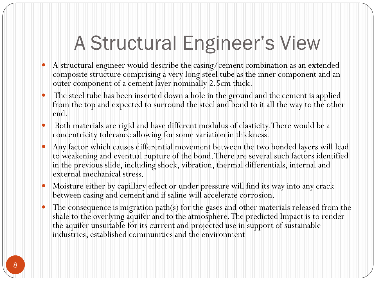# A Structural Engineer's View

- A structural engineer would describe the casing/cement combination as an extended composite structure comprising a very long steel tube as the inner component and an outer component of a cement layer nominally 2.5cm thick.
- The steel tube has been inserted down a hole in the ground and the cement is applied from the top and expected to surround the steel and bond to it all the way to the other end.
- Both materials are rigid and have different modulus of elasticity. There would be a concentricity tolerance allowing for some variation in thickness.
- Any factor which causes differential movement between the two bonded layers will lead to weakening and eventual rupture of the bond. There are several such factors identified in the previous slide, including shock, vibration, thermal differentials, internal and external mechanical stress.
- Moisture either by capillary effect or under pressure will find its way into any crack between casing and cement and if saline will accelerate corrosion.
- The consequence is migration path(s) for the gases and other materials released from the shale to the overlying aquifer and to the atmosphere. The predicted Impact is to render the aquifer unsuitable for its current and projected use in support of sustainable industries, established communities and the environment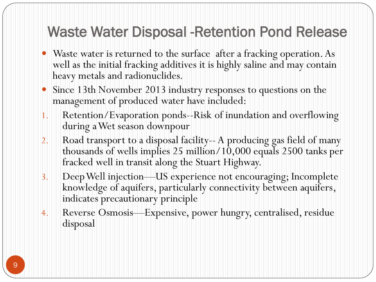#### Waste Water Disposal -Retention Pond Release

- Waste water is returned to the surface after a fracking operation. As well as the initial fracking additives it is highly saline and may contain heavy metals and radionuclides.
- Since 13th November 2013 industry responses to questions on the management of produced water have included:
- 1. Retention/Evaporation ponds--Risk of inundation and overflowing during a Wet season downpour
- 2. Road transport to a disposal facility-- A producing gas field of many thousands of wells implies 25 million/10,000 equals 2500 tanks per fracked well in transit along the Stuart Highway.
- 3. Deep Well injection—US experience not encouraging; Incomplete knowledge of aquifers, particularly connectivity between aquifers, indicates precautionary principle
- 4. Reverse Osmosis—Expensive, power hungry, centralised, residue disposal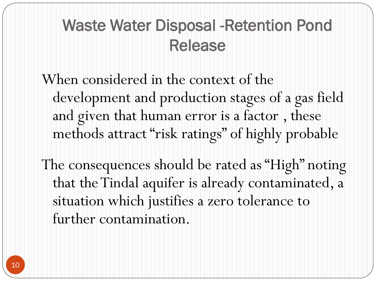### Waste Water Disposal -Retention Pond Release

When considered in the context of the development and production stages of a gas field and given that human error is a factor , these methods attract "risk ratings" of highly probable

The consequences should be rated as "High" noting that the Tindal aquifer is already contaminated, a situation which justifies a zero tolerance to further contamination.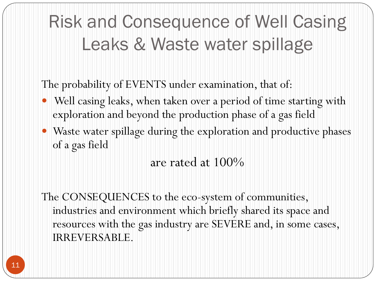### Risk and Consequence of Well Casing Leaks & Waste water spillage

The probability of EVENTS under examination, that of:

- Well casing leaks, when taken over a period of time starting with exploration and beyond the production phase of a gas field
- Waste water spillage during the exploration and productive phases of a gas field

are rated at 100%

The CONSEQUENCES to the eco-system of communities, industries and environment which briefly shared its space and resources with the gas industry are SEVERE and, in some cases, IRREVERSABLE.